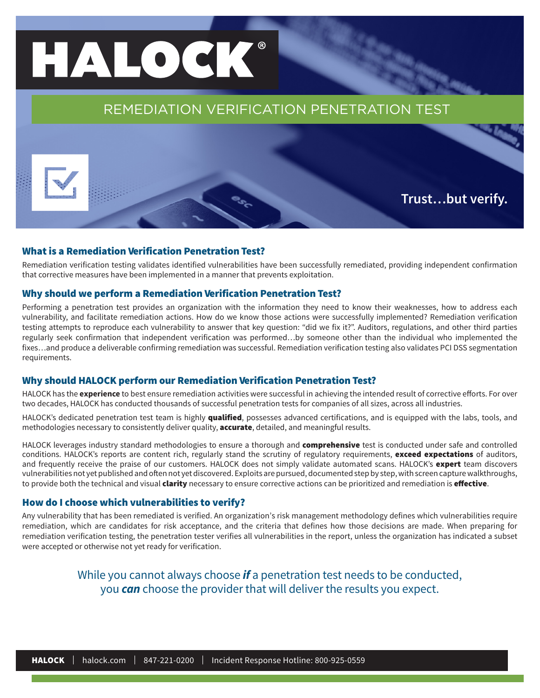# HALOCK®

## REMEDIATION VERIFICATION PENETRATION TEST

**Trust…but verify.**

## What is a Remediation Verification Penetration Test?

Remediation verification testing validates identified vulnerabilities have been successfully remediated, providing independent confirmation that corrective measures have been implemented in a manner that prevents exploitation.

## Why should we perform a Remediation Verification Penetration Test?

Performing a penetration test provides an organization with the information they need to know their weaknesses, how to address each vulnerability, and facilitate remediation actions. How do we know those actions were successfully implemented? Remediation verification testing attempts to reproduce each vulnerability to answer that key question: "did we fix it?". Auditors, regulations, and other third parties regularly seek confirmation that independent verification was performed…by someone other than the individual who implemented the fixes…and produce a deliverable confirming remediation was successful. Remediation verification testing also validates PCI DSS segmentation requirements.

## Why should HALOCK perform our Remediation Verification Penetration Test?

HALOCK has the **experience** to best ensure remediation activities were successful in achieving the intended result of corrective efforts. For over two decades, HALOCK has conducted thousands of successful penetration tests for companies of all sizes, across all industries.

HALOCK's dedicated penetration test team is highly qualified, possesses advanced certifications, and is equipped with the labs, tools, and methodologies necessary to consistently deliver quality, **accurate**, detailed, and meaningful results.

HALOCK leverages industry standard methodologies to ensure a thorough and **comprehensive** test is conducted under safe and controlled conditions. HALOCK's reports are content rich, regularly stand the scrutiny of regulatory requirements, exceed expectations of auditors, and frequently receive the praise of our customers. HALOCK does not simply validate automated scans. HALOCK's expert team discovers vulnerabilities not yet published and often not yet discovered. Exploits are pursued, documented step by step, with screen capture walkthroughs, to provide both the technical and visual clarity necessary to ensure corrective actions can be prioritized and remediation is effective.

## How do I choose which vulnerabilities to verify?

Any vulnerability that has been remediated is verified. An organization's risk management methodology defines which vulnerabilities require remediation, which are candidates for risk acceptance, and the criteria that defines how those decisions are made. When preparing for remediation verification testing, the penetration tester verifies all vulnerabilities in the report, unless the organization has indicated a subset were accepted or otherwise not yet ready for verification.

> While you cannot always choose *if* a penetration test needs to be conducted, you *can* choose the provider that will deliver the results you expect.